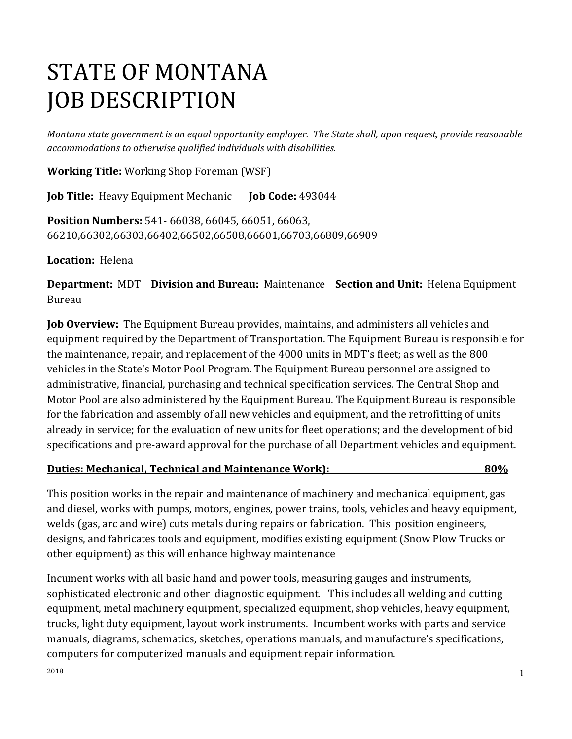# STATE OF MONTANA JOB DESCRIPTION

*Montana state government is an equal opportunity employer. The State shall, upon request, provide reasonable accommodations to otherwise qualified individuals with disabilities.*

**Working Title:** Working Shop Foreman (WSF)

**Job Title:** Heavy Equipment Mechanic **Job Code:** 493044

**Position Numbers:** 541- 66038, 66045, 66051, 66063, 66210,66302,66303,66402,66502,66508,66601,66703,66809,66909

**Location:** Helena

**Department:** MDT **Division and Bureau:** Maintenance **Section and Unit:** Helena Equipment Bureau

**Job Overview:** The Equipment Bureau provides, maintains, and administers all vehicles and equipment required by the Department of Transportation. The Equipment Bureau is responsible for the maintenance, repair, and replacement of the 4000 units in MDT's fleet; as well as the 800 vehicles in the State's Motor Pool Program. The Equipment Bureau personnel are assigned to administrative, financial, purchasing and technical specification services. The Central Shop and Motor Pool are also administered by the Equipment Bureau. The Equipment Bureau is responsible for the fabrication and assembly of all new vehicles and equipment, and the retrofitting of units already in service; for the evaluation of new units for fleet operations; and the development of bid specifications and pre-award approval for the purchase of all Department vehicles and equipment.

#### **Duties: Mechanical, Technical and Maintenance Work): 80%**

This position works in the repair and maintenance of machinery and mechanical equipment, gas and diesel, works with pumps, motors, engines, power trains, tools, vehicles and heavy equipment, welds (gas, arc and wire) cuts metals during repairs or fabrication. This position engineers, designs, and fabricates tools and equipment, modifies existing equipment (Snow Plow Trucks or other equipment) as this will enhance highway maintenance

Incument works with all basic hand and power tools, measuring gauges and instruments, sophisticated electronic and other diagnostic equipment. This includes all welding and cutting equipment, metal machinery equipment, specialized equipment, shop vehicles, heavy equipment, trucks, light duty equipment, layout work instruments. Incumbent works with parts and service manuals, diagrams, schematics, sketches, operations manuals, and manufacture's specifications, computers for computerized manuals and equipment repair information.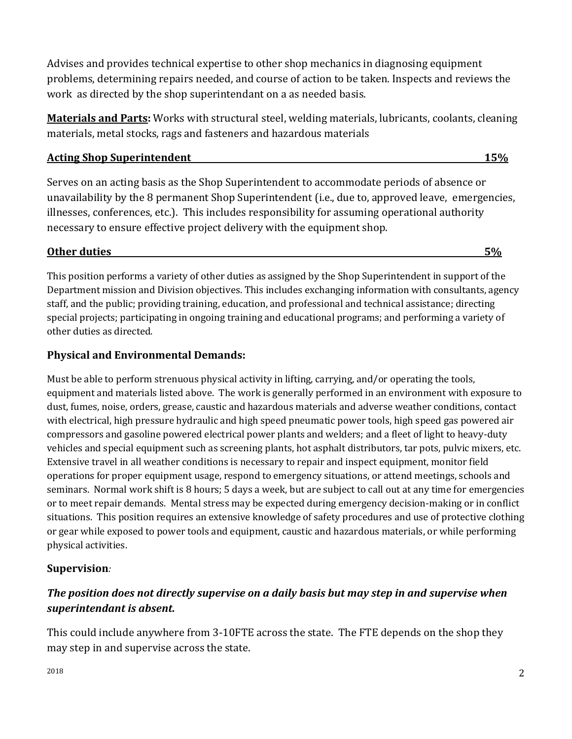Advises and provides technical expertise to other shop mechanics in diagnosing equipment problems, determining repairs needed, and course of action to be taken. Inspects and reviews the work as directed by the shop superintendant on a as needed basis.

**Materials and Parts:** Works with structural steel, welding materials, lubricants, coolants, cleaning materials, metal stocks, rags and fasteners and hazardous materials

#### **Acting Shop Superintendent 15%**

Serves on an acting basis as the Shop Superintendent to accommodate periods of absence or unavailability by the 8 permanent Shop Superintendent (i.e., due to, approved leave, emergencies, illnesses, conferences, etc.). This includes responsibility for assuming operational authority necessary to ensure effective project delivery with the equipment shop.

# **Other duties** 5% and 5% and 5% and 5% and 5% and 5% and 5% and 5% and 5% and 5% and 5% and 5% and 5% and 5% and 5% and 5% and 5% and 5% and 5% and 5% and 5% and 5% and 5% and 5% and 5% and 5% and 5% and 5% and 5% and 5% a

This position performs a variety of other duties as assigned by the Shop Superintendent in support of the Department mission and Division objectives. This includes exchanging information with consultants, agency staff, and the public; providing training, education, and professional and technical assistance; directing special projects; participating in ongoing training and educational programs; and performing a variety of other duties as directed.

# **Physical and Environmental Demands:**

Must be able to perform strenuous physical activity in lifting, carrying, and/or operating the tools, equipment and materials listed above. The work is generally performed in an environment with exposure to dust, fumes, noise, orders, grease, caustic and hazardous materials and adverse weather conditions, contact with electrical, high pressure hydraulic and high speed pneumatic power tools, high speed gas powered air compressors and gasoline powered electrical power plants and welders; and a fleet of light to heavy-duty vehicles and special equipment such as screening plants, hot asphalt distributors, tar pots, pulvic mixers, etc. Extensive travel in all weather conditions is necessary to repair and inspect equipment, monitor field operations for proper equipment usage, respond to emergency situations, or attend meetings, schools and seminars. Normal work shift is 8 hours; 5 days a week, but are subject to call out at any time for emergencies or to meet repair demands. Mental stress may be expected during emergency decision-making or in conflict situations. This position requires an extensive knowledge of safety procedures and use of protective clothing or gear while exposed to power tools and equipment, caustic and hazardous materials, or while performing physical activities.

# **Supervision***:*

# *The position does not directly supervise on a daily basis but may step in and supervise when superintendant is absent.*

This could include anywhere from 3-10FTE across the state. The FTE depends on the shop they may step in and supervise across the state.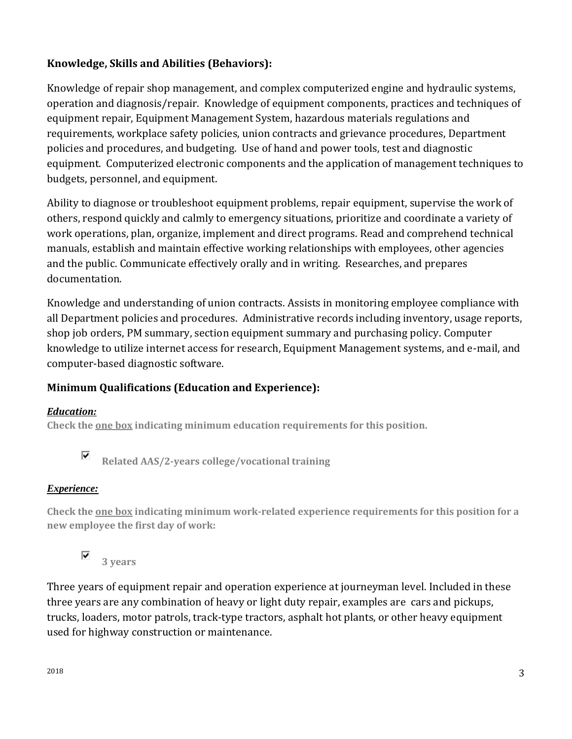# **Knowledge, Skills and Abilities (Behaviors):**

Knowledge of repair shop management, and complex computerized engine and hydraulic systems, operation and diagnosis/repair. Knowledge of equipment components, practices and techniques of equipment repair, Equipment Management System, hazardous materials regulations and requirements, workplace safety policies, union contracts and grievance procedures, Department policies and procedures, and budgeting. Use of hand and power tools, test and diagnostic equipment. Computerized electronic components and the application of management techniques to budgets, personnel, and equipment.

Ability to diagnose or troubleshoot equipment problems, repair equipment, supervise the work of others, respond quickly and calmly to emergency situations, prioritize and coordinate a variety of work operations, plan, organize, implement and direct programs. Read and comprehend technical manuals, establish and maintain effective working relationships with employees, other agencies and the public. Communicate effectively orally and in writing. Researches, and prepares documentation.

Knowledge and understanding of union contracts. Assists in monitoring employee compliance with all Department policies and procedures. Administrative records including inventory, usage reports, shop job orders, PM summary, section equipment summary and purchasing policy. Computer knowledge to utilize internet access for research, Equipment Management systems, and e-mail, and computer-based diagnostic software.

# **Minimum Qualifications (Education and Experience):**

# *Education:*

**Check the one box indicating minimum education requirements for this position.** 

⊽ **Related AAS/2-years college/vocational training**

# *Experience:*

**Check the one box indicating minimum work-related experience requirements for this position for a new employee the first day of work:**



Three years of equipment repair and operation experience at journeyman level. Included in these three years are any combination of heavy or light duty repair, examples are cars and pickups, trucks, loaders, motor patrols, track-type tractors, asphalt hot plants, or other heavy equipment used for highway construction or maintenance.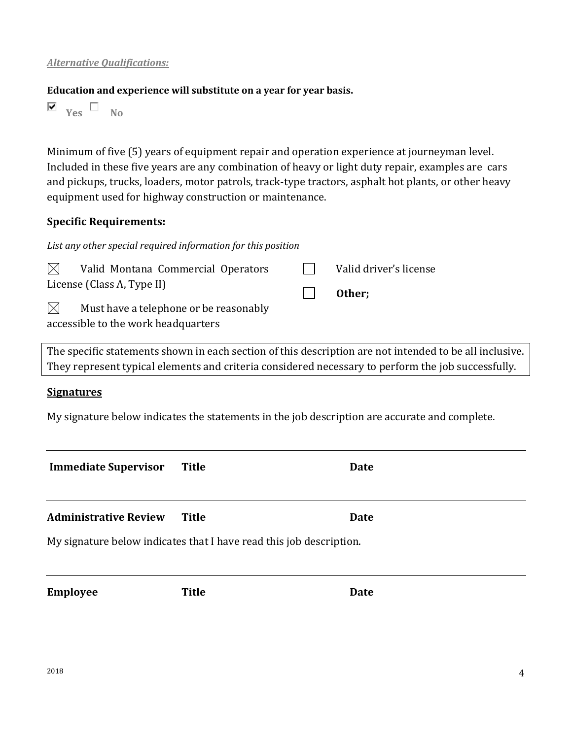#### **Education and experience will substitute on a year for year basis.**

*List any other special required information for this position*

 $\overline{\mathbf{v}}$   $_{\text{Yes}}$   $\Box$  No

Minimum of five (5) years of equipment repair and operation experience at journeyman level. Included in these five years are any combination of heavy or light duty repair, examples are cars and pickups, trucks, loaders, motor patrols, track-type tractors, asphalt hot plants, or other heavy equipment used for highway construction or maintenance.

## **Specific Requirements:**

|                                     | $\boxtimes$ Valid Montana Commercial Operators |  | Valid driver's license |  |  |
|-------------------------------------|------------------------------------------------|--|------------------------|--|--|
| License (Class A, Type II)          |                                                |  | Other;                 |  |  |
| $\bowtie$                           | Must have a telephone or be reasonably         |  |                        |  |  |
| accessible to the work headquarters |                                                |  |                        |  |  |

The specific statements shown in each section of this description are not intended to be all inclusive. They represent typical elements and criteria considered necessary to perform the job successfully.

# **Signatures**

My signature below indicates the statements in the job description are accurate and complete.

| <b>Immediate Supervisor</b>                                         | Title        | Date |  |  |  |  |  |
|---------------------------------------------------------------------|--------------|------|--|--|--|--|--|
| <b>Administrative Review</b>                                        | Title        | Date |  |  |  |  |  |
| My signature below indicates that I have read this job description. |              |      |  |  |  |  |  |
| <b>Employee</b>                                                     | <b>Title</b> | Date |  |  |  |  |  |